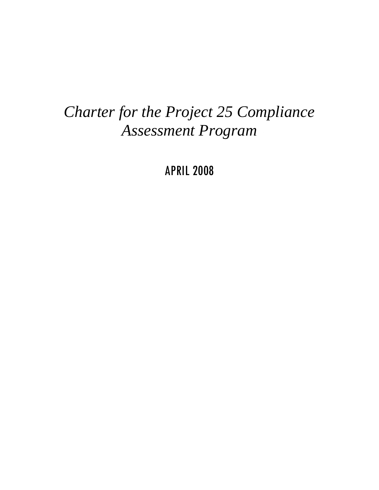# *Charter for the Project 25 Compliance Assessment Program*

APRIL 2008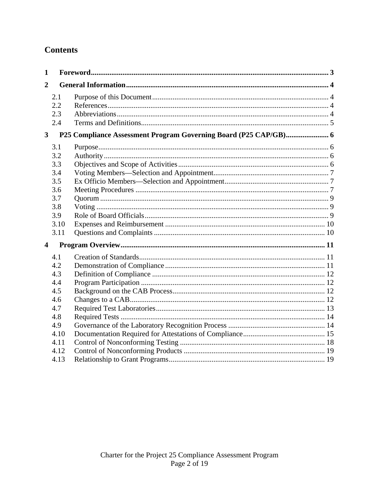# **Contents**

| $\mathbf{1}$            |                                                                             |  |  |
|-------------------------|-----------------------------------------------------------------------------|--|--|
| $\overline{2}$          |                                                                             |  |  |
|                         | 2.1<br>2.2<br>2.3<br>2.4                                                    |  |  |
| 3 <sup>1</sup>          |                                                                             |  |  |
|                         | 3.1<br>3.2<br>3.3<br>3.4<br>3.5<br>3.6<br>3.7<br>3.8<br>3.9<br>3.10<br>3.11 |  |  |
| $\overline{\mathbf{4}}$ |                                                                             |  |  |
|                         | 4.1<br>4.2<br>4.3<br>4.4<br>4.5<br>4.6<br>4.7<br>4.8<br>4.9                 |  |  |
|                         | 4.10<br>4.11<br>4.12<br>4.13                                                |  |  |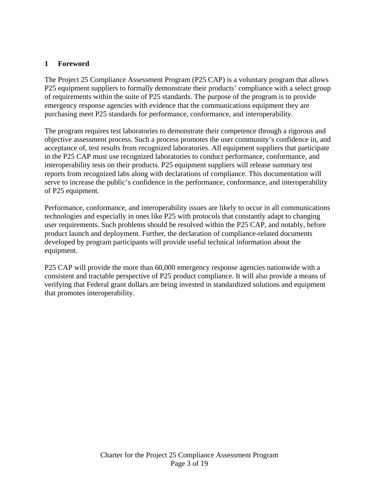#### **1 Foreword**

The Project 25 Compliance Assessment Program (P25 CAP) is a voluntary program that allows P25 equipment suppliers to formally demonstrate their products' compliance with a select group of requirements within the suite of P25 standards. The purpose of the program is to provide emergency response agencies with evidence that the communications equipment they are purchasing meet P25 standards for performance, conformance, and interoperability.

The program requires test laboratories to demonstrate their competence through a rigorous and objective assessment process. Such a process promotes the user community's confidence in, and acceptance of, test results from recognized laboratories. All equipment suppliers that participate in the P25 CAP must use recognized laboratories to conduct performance, conformance, and interoperability tests on their products. P25 equipment suppliers will release summary test reports from recognized labs along with declarations of compliance. This documentation will serve to increase the public's confidence in the performance, conformance, and interoperability of P25 equipment.

Performance, conformance, and interoperability issues are likely to occur in all communications technologies and especially in ones like P25 with protocols that constantly adapt to changing user requirements. Such problems should be resolved within the P25 CAP, and notably, before product launch and deployment. Further, the declaration of compliance-related documents developed by program participants will provide useful technical information about the equipment.

P25 CAP will provide the more than 60,000 emergency response agencies nationwide with a consistent and tractable perspective of P25 product compliance. It will also provide a means of verifying that Federal grant dollars are being invested in standardized solutions and equipment that promotes interoperability.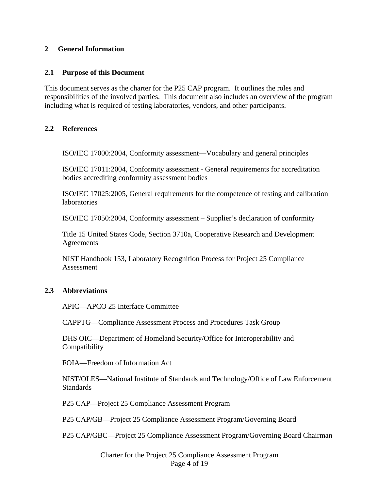#### **2 General Information**

#### **2.1 Purpose of this Document**

This document serves as the charter for the P25 CAP program. It outlines the roles and responsibilities of the involved parties. This document also includes an overview of the program including what is required of testing laboratories, vendors, and other participants.

#### **2.2 References**

ISO/IEC 17000:2004, Conformity assessment—Vocabulary and general principles

ISO/IEC 17011:2004, Conformity assessment - General requirements for accreditation bodies accrediting conformity assessment bodies

ISO/IEC 17025:2005, General requirements for the competence of testing and calibration laboratories

ISO/IEC 17050:2004, Conformity assessment – Supplier's declaration of conformity

Title 15 United States Code, Section 3710a, Cooperative Research and Development Agreements

NIST Handbook 153, Laboratory Recognition Process for Project 25 Compliance Assessment

#### **2.3 Abbreviations**

APIC—APCO 25 Interface Committee

CAPPTG—Compliance Assessment Process and Procedures Task Group

DHS OIC—Department of Homeland Security/Office for Interoperability and Compatibility

FOIA—Freedom of Information Act

NIST/OLES—National Institute of Standards and Technology/Office of Law Enforcement Standards

P25 CAP—Project 25 Compliance Assessment Program

P25 CAP/GB—Project 25 Compliance Assessment Program/Governing Board

P25 CAP/GBC—Project 25 Compliance Assessment Program/Governing Board Chairman

Charter for the Project 25 Compliance Assessment Program Page 4 of 19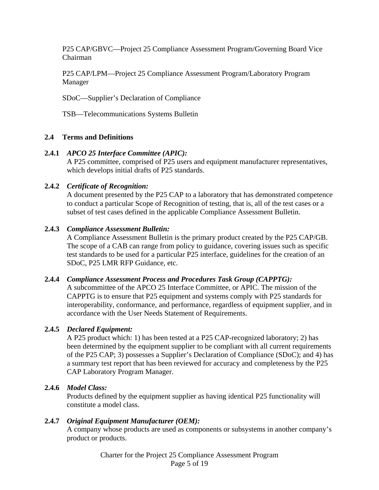P25 CAP/GBVC—Project 25 Compliance Assessment Program/Governing Board Vice Chairman

P25 CAP/LPM—Project 25 Compliance Assessment Program/Laboratory Program Manager

SDoC—Supplier's Declaration of Compliance

TSB—Telecommunications Systems Bulletin

#### **2.4 Terms and Definitions**

#### **2.4.1** *APCO 25 Interface Committee (APIC):*

A P25 committee, comprised of P25 users and equipment manufacturer representatives, which develops initial drafts of P25 standards.

#### **2.4.2** *Certificate of Recognition:*

A document presented by the P25 CAP to a laboratory that has demonstrated competence to conduct a particular Scope of Recognition of testing, that is, all of the test cases or a subset of test cases defined in the applicable Compliance Assessment Bulletin.

#### **2.4.3** *Compliance Assessment Bulletin:*

A Compliance Assessment Bulletin is the primary product created by the P25 CAP/GB. The scope of a CAB can range from policy to guidance, covering issues such as specific test standards to be used for a particular P25 interface, guidelines for the creation of an SDoC, P25 LMR RFP Guidance, etc.

#### **2.4.4** *Compliance Assessment Process and Procedures Task Group (CAPPTG):*

A subcommittee of the APCO 25 Interface Committee, or APIC. The mission of the CAPPTG is to ensure that P25 equipment and systems comply with P25 standards for interoperability, conformance, and performance, regardless of equipment supplier, and in accordance with the User Needs Statement of Requirements.

#### **2.4.5** *Declared Equipment:*

A P25 product which: 1) has been tested at a P25 CAP-recognized laboratory; 2) has been determined by the equipment supplier to be compliant with all current requirements of the P25 CAP; 3) possesses a Supplier's Declaration of Compliance (SDoC); and 4) has a summary test report that has been reviewed for accuracy and completeness by the P25 CAP Laboratory Program Manager.

#### **2.4.6** *Model Class:*

Products defined by the equipment supplier as having identical P25 functionality will constitute a model class.

#### **2.4.7** *Original Equipment Manufacturer (OEM):*

A company whose products are used as components or subsystems in another company's product or products.

> Charter for the Project 25 Compliance Assessment Program Page 5 of 19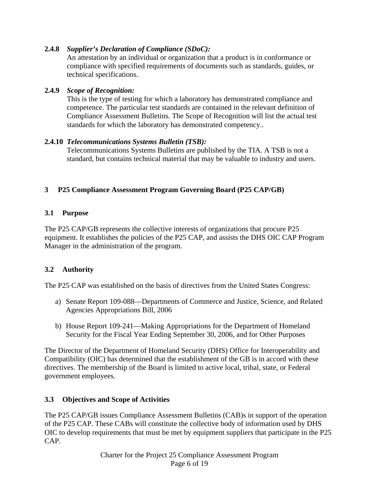## **2.4.8** *Supplier's Declaration of Compliance (SDoC):*

An attestation by an individual or organization that a product is in conformance or compliance with specified requirements of documents such as standards, guides, or technical specifications.

## **2.4.9** *Scope of Recognition:*

This is the type of testing for which a laboratory has demonstrated compliance and competence. The particular test standards are contained in the relevant definition of Compliance Assessment Bulletins. The Scope of Recognition will list the actual test standards for which the laboratory has demonstrated competency..

# **2.4.10** *Telecommunications Systems Bulletin (TSB):*

Telecommunications Systems Bulletins are published by the TIA. A TSB is not a standard, but contains technical material that may be valuable to industry and users.

# **3 P25 Compliance Assessment Program Governing Board (P25 CAP/GB)**

# **3.1 Purpose**

The P25 CAP/GB represents the collective interests of organizations that procure P25 equipment. It establishes the policies of the P25 CAP, and assists the DHS OIC CAP Program Manager in the administration of the program.

# **3.2 Authority**

The P25 CAP was established on the basis of directives from the United States Congress:

- a) Senate Report 109-088—Departments of Commerce and Justice, Science, and Related Agencies Appropriations Bill, 2006
- b) House Report 109-241—Making Appropriations for the Department of Homeland Security for the Fiscal Year Ending September 30, 2006, and for Other Purposes

The Director of the Department of Homeland Security (DHS) Office for Interoperability and Compatibility (OIC) has determined that the establishment of the GB is in accord with these directives. The membership of the Board is limited to active local, tribal, state, or Federal government employees.

#### **3.3 Objectives and Scope of Activities**

The P25 CAP/GB issues Compliance Assessment Bulletins (CAB)s in support of the operation of the P25 CAP. These CABs will constitute the collective body of information used by DHS OIC to develop requirements that must be met by equipment suppliers that participate in the P25 CAP.

> Charter for the Project 25 Compliance Assessment Program Page 6 of 19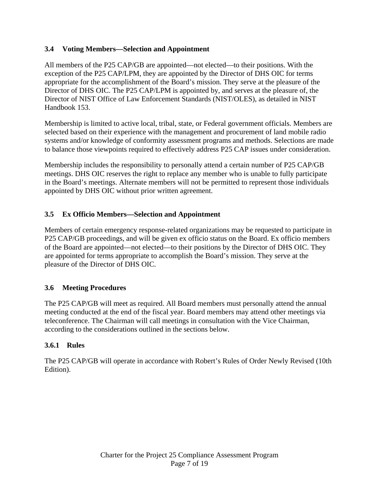# **3.4 Voting Members—Selection and Appointment**

All members of the P25 CAP/GB are appointed—not elected—to their positions. With the exception of the P25 CAP/LPM, they are appointed by the Director of DHS OIC for terms appropriate for the accomplishment of the Board's mission. They serve at the pleasure of the Director of DHS OIC. The P25 CAP/LPM is appointed by, and serves at the pleasure of, the Director of NIST Office of Law Enforcement Standards (NIST/OLES), as detailed in NIST Handbook 153.

Membership is limited to active local, tribal, state, or Federal government officials. Members are selected based on their experience with the management and procurement of land mobile radio systems and/or knowledge of conformity assessment programs and methods. Selections are made to balance those viewpoints required to effectively address P25 CAP issues under consideration.

Membership includes the responsibility to personally attend a certain number of P25 CAP/GB meetings. DHS OIC reserves the right to replace any member who is unable to fully participate in the Board's meetings. Alternate members will not be permitted to represent those individuals appointed by DHS OIC without prior written agreement.

# **3.5 Ex Officio Members—Selection and Appointment**

Members of certain emergency response-related organizations may be requested to participate in P25 CAP/GB proceedings, and will be given ex officio status on the Board. Ex officio members of the Board are appointed—not elected—to their positions by the Director of DHS OIC. They are appointed for terms appropriate to accomplish the Board's mission. They serve at the pleasure of the Director of DHS OIC.

#### **3.6 Meeting Procedures**

The P25 CAP/GB will meet as required. All Board members must personally attend the annual meeting conducted at the end of the fiscal year. Board members may attend other meetings via teleconference. The Chairman will call meetings in consultation with the Vice Chairman, according to the considerations outlined in the sections below.

#### **3.6.1 Rules**

The P25 CAP/GB will operate in accordance with Robert's Rules of Order Newly Revised (10th Edition).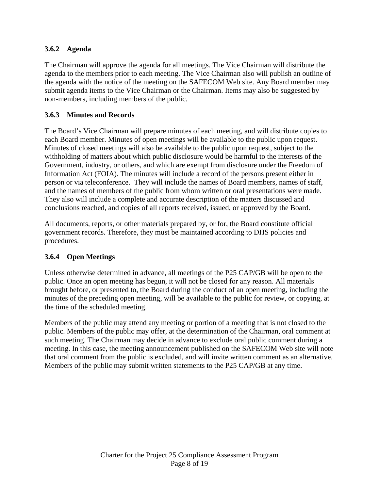# **3.6.2 Agenda**

The Chairman will approve the agenda for all meetings. The Vice Chairman will distribute the agenda to the members prior to each meeting. The Vice Chairman also will publish an outline of the agenda with the notice of the meeting on the SAFECOM Web site. Any Board member may submit agenda items to the Vice Chairman or the Chairman. Items may also be suggested by non-members, including members of the public.

## **3.6.3 Minutes and Records**

The Board's Vice Chairman will prepare minutes of each meeting, and will distribute copies to each Board member. Minutes of open meetings will be available to the public upon request. Minutes of closed meetings will also be available to the public upon request, subject to the withholding of matters about which public disclosure would be harmful to the interests of the Government, industry, or others, and which are exempt from disclosure under the Freedom of Information Act (FOIA). The minutes will include a record of the persons present either in person or via teleconference. They will include the names of Board members, names of staff, and the names of members of the public from whom written or oral presentations were made. They also will include a complete and accurate description of the matters discussed and conclusions reached, and copies of all reports received, issued, or approved by the Board.

All documents, reports, or other materials prepared by, or for, the Board constitute official government records. Therefore, they must be maintained according to DHS policies and procedures.

#### **3.6.4 Open Meetings**

Unless otherwise determined in advance, all meetings of the P25 CAP/GB will be open to the public. Once an open meeting has begun, it will not be closed for any reason. All materials brought before, or presented to, the Board during the conduct of an open meeting, including the minutes of the preceding open meeting, will be available to the public for review, or copying, at the time of the scheduled meeting.

Members of the public may attend any meeting or portion of a meeting that is not closed to the public. Members of the public may offer, at the determination of the Chairman, oral comment at such meeting. The Chairman may decide in advance to exclude oral public comment during a meeting. In this case, the meeting announcement published on the SAFECOM Web site will note that oral comment from the public is excluded, and will invite written comment as an alternative. Members of the public may submit written statements to the P25 CAP/GB at any time.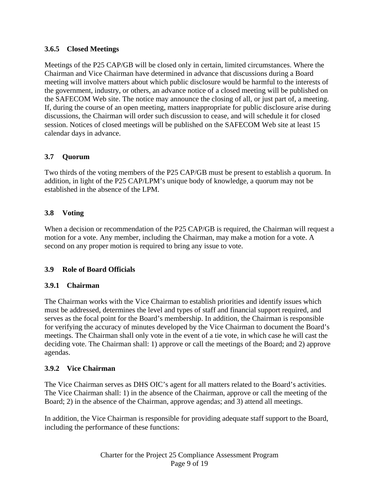#### **3.6.5 Closed Meetings**

Meetings of the P25 CAP/GB will be closed only in certain, limited circumstances. Where the Chairman and Vice Chairman have determined in advance that discussions during a Board meeting will involve matters about which public disclosure would be harmful to the interests of the government, industry, or others, an advance notice of a closed meeting will be published on the SAFECOM Web site. The notice may announce the closing of all, or just part of, a meeting. If, during the course of an open meeting, matters inappropriate for public disclosure arise during discussions, the Chairman will order such discussion to cease, and will schedule it for closed session. Notices of closed meetings will be published on the SAFECOM Web site at least 15 calendar days in advance.

# **3.7 Quorum**

Two thirds of the voting members of the P25 CAP/GB must be present to establish a quorum. In addition, in light of the P25 CAP/LPM's unique body of knowledge, a quorum may not be established in the absence of the LPM.

# **3.8 Voting**

When a decision or recommendation of the P25 CAP/GB is required, the Chairman will request a motion for a vote. Any member, including the Chairman, may make a motion for a vote. A second on any proper motion is required to bring any issue to vote.

# **3.9 Role of Board Officials**

#### **3.9.1 Chairman**

The Chairman works with the Vice Chairman to establish priorities and identify issues which must be addressed, determines the level and types of staff and financial support required, and serves as the focal point for the Board's membership. In addition, the Chairman is responsible for verifying the accuracy of minutes developed by the Vice Chairman to document the Board's meetings. The Chairman shall only vote in the event of a tie vote, in which case he will cast the deciding vote. The Chairman shall: 1) approve or call the meetings of the Board; and 2) approve agendas.

#### **3.9.2 Vice Chairman**

The Vice Chairman serves as DHS OIC's agent for all matters related to the Board's activities. The Vice Chairman shall: 1) in the absence of the Chairman, approve or call the meeting of the Board; 2) in the absence of the Chairman, approve agendas; and 3) attend all meetings.

In addition, the Vice Chairman is responsible for providing adequate staff support to the Board, including the performance of these functions: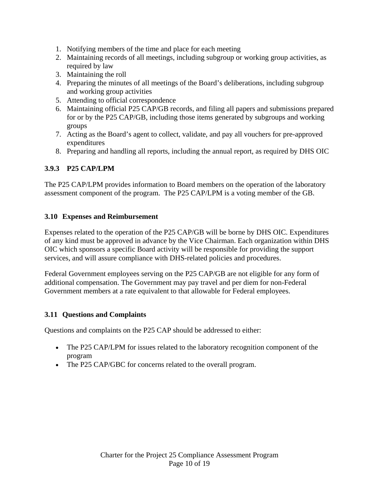- 1. Notifying members of the time and place for each meeting
- 2. Maintaining records of all meetings, including subgroup or working group activities, as required by law
- 3. Maintaining the roll
- 4. Preparing the minutes of all meetings of the Board's deliberations, including subgroup and working group activities
- 5. Attending to official correspondence
- 6. Maintaining official P25 CAP/GB records, and filing all papers and submissions prepared for or by the P25 CAP/GB, including those items generated by subgroups and working groups
- 7. Acting as the Board's agent to collect, validate, and pay all vouchers for pre-approved expenditures
- 8. Preparing and handling all reports, including the annual report, as required by DHS OIC

# **3.9.3 P25 CAP/LPM**

The P25 CAP/LPM provides information to Board members on the operation of the laboratory assessment component of the program. The P25 CAP/LPM is a voting member of the GB.

#### **3.10 Expenses and Reimbursement**

Expenses related to the operation of the P25 CAP/GB will be borne by DHS OIC. Expenditures of any kind must be approved in advance by the Vice Chairman. Each organization within DHS OIC which sponsors a specific Board activity will be responsible for providing the support services, and will assure compliance with DHS-related policies and procedures.

Federal Government employees serving on the P25 CAP/GB are not eligible for any form of additional compensation. The Government may pay travel and per diem for non-Federal Government members at a rate equivalent to that allowable for Federal employees.

#### **3.11 Questions and Complaints**

Questions and complaints on the P25 CAP should be addressed to either:

- The P25 CAP/LPM for issues related to the laboratory recognition component of the program
- The P25 CAP/GBC for concerns related to the overall program.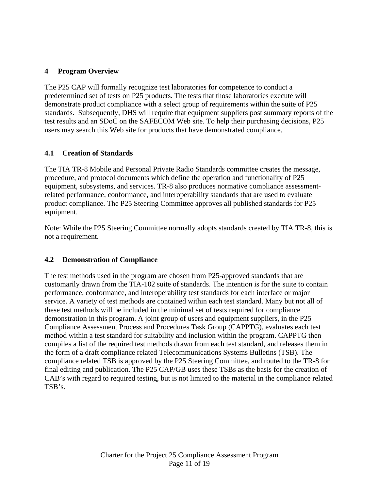# **4 Program Overview**

The P25 CAP will formally recognize test laboratories for competence to conduct a predetermined set of tests on P25 products. The tests that those laboratories execute will demonstrate product compliance with a select group of requirements within the suite of P25 standards. Subsequently, DHS will require that equipment suppliers post summary reports of the test results and an SDoC on the SAFECOM Web site. To help their purchasing decisions, P25 users may search this Web site for products that have demonstrated compliance.

# **4.1 Creation of Standards**

The TIA TR-8 Mobile and Personal Private Radio Standards committee creates the message, procedure, and protocol documents which define the operation and functionality of P25 equipment, subsystems, and services. TR-8 also produces normative compliance assessmentrelated performance, conformance, and interoperability standards that are used to evaluate product compliance. The P25 Steering Committee approves all published standards for P25 equipment.

Note: While the P25 Steering Committee normally adopts standards created by TIA TR-8, this is not a requirement.

#### **4.2 Demonstration of Compliance**

The test methods used in the program are chosen from P25-approved standards that are customarily drawn from the TIA-102 suite of standards. The intention is for the suite to contain performance, conformance, and interoperability test standards for each interface or major service. A variety of test methods are contained within each test standard. Many but not all of these test methods will be included in the minimal set of tests required for compliance demonstration in this program. A joint group of users and equipment suppliers, in the P25 Compliance Assessment Process and Procedures Task Group (CAPPTG), evaluates each test method within a test standard for suitability and inclusion within the program. CAPPTG then compiles a list of the required test methods drawn from each test standard, and releases them in the form of a draft compliance related Telecommunications Systems Bulletins (TSB). The compliance related TSB is approved by the P25 Steering Committee, and routed to the TR-8 for final editing and publication. The P25 CAP/GB uses these TSBs as the basis for the creation of CAB's with regard to required testing, but is not limited to the material in the compliance related TSB's.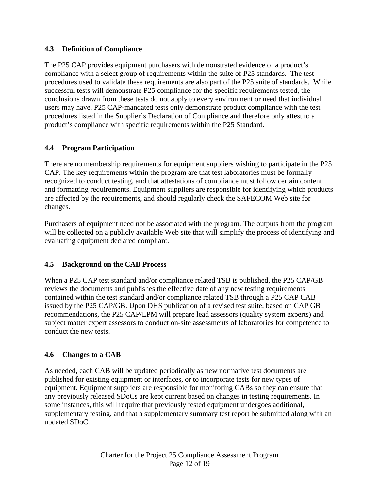# **4.3 Definition of Compliance**

The P25 CAP provides equipment purchasers with demonstrated evidence of a product's compliance with a select group of requirements within the suite of P25 standards. The test procedures used to validate these requirements are also part of the P25 suite of standards. While successful tests will demonstrate P25 compliance for the specific requirements tested, the conclusions drawn from these tests do not apply to every environment or need that individual users may have. P25 CAP-mandated tests only demonstrate product compliance with the test procedures listed in the Supplier's Declaration of Compliance and therefore only attest to a product's compliance with specific requirements within the P25 Standard.

# **4.4 Program Participation**

There are no membership requirements for equipment suppliers wishing to participate in the P25 CAP. The key requirements within the program are that test laboratories must be formally recognized to conduct testing, and that attestations of compliance must follow certain content and formatting requirements. Equipment suppliers are responsible for identifying which products are affected by the requirements, and should regularly check the SAFECOM Web site for changes.

Purchasers of equipment need not be associated with the program. The outputs from the program will be collected on a publicly available Web site that will simplify the process of identifying and evaluating equipment declared compliant.

#### **4.5 Background on the CAB Process**

When a P25 CAP test standard and/or compliance related TSB is published, the P25 CAP/GB reviews the documents and publishes the effective date of any new testing requirements contained within the test standard and/or compliance related TSB through a P25 CAP CAB issued by the P25 CAP/GB. Upon DHS publication of a revised test suite, based on CAP GB recommendations, the P25 CAP/LPM will prepare lead assessors (quality system experts) and subject matter expert assessors to conduct on-site assessments of laboratories for competence to conduct the new tests.

#### **4.6 Changes to a CAB**

As needed, each CAB will be updated periodically as new normative test documents are published for existing equipment or interfaces, or to incorporate tests for new types of equipment. Equipment suppliers are responsible for monitoring CABs so they can ensure that any previously released SDoCs are kept current based on changes in testing requirements. In some instances, this will require that previously tested equipment undergoes additional, supplementary testing, and that a supplementary summary test report be submitted along with an updated SDoC.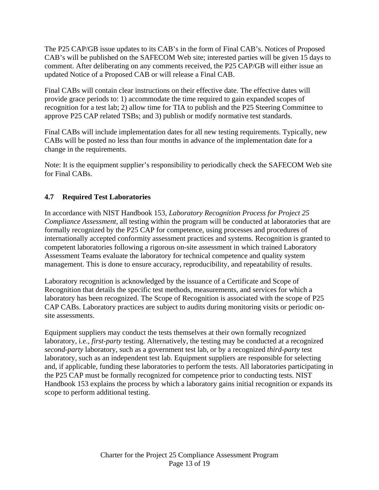The P25 CAP/GB issue updates to its CAB's in the form of Final CAB's. Notices of Proposed CAB's will be published on the SAFECOM Web site; interested parties will be given 15 days to comment. After deliberating on any comments received, the P25 CAP/GB will either issue an updated Notice of a Proposed CAB or will release a Final CAB.

Final CABs will contain clear instructions on their effective date. The effective dates will provide grace periods to: 1) accommodate the time required to gain expanded scopes of recognition for a test lab; 2) allow time for TIA to publish and the P25 Steering Committee to approve P25 CAP related TSBs; and 3) publish or modify normative test standards.

Final CABs will include implementation dates for all new testing requirements. Typically, new CABs will be posted no less than four months in advance of the implementation date for a change in the requirements.

Note: It is the equipment supplier's responsibility to periodically check the SAFECOM Web site for Final CABs.

# **4.7 Required Test Laboratories**

In accordance with NIST Handbook 153, *Laboratory Recognition Process for Project 25 Compliance Assessment,* all testing within the program will be conducted at laboratories that are formally recognized by the P25 CAP for competence, using processes and procedures of internationally accepted conformity assessment practices and systems. Recognition is granted to competent laboratories following a rigorous on-site assessment in which trained Laboratory Assessment Teams evaluate the laboratory for technical competence and quality system management. This is done to ensure accuracy, reproducibility, and repeatability of results.

Laboratory recognition is acknowledged by the issuance of a Certificate and Scope of Recognition that details the specific test methods, measurements, and services for which a laboratory has been recognized. The Scope of Recognition is associated with the scope of P25 CAP CABs. Laboratory practices are subject to audits during monitoring visits or periodic onsite assessments.

Equipment suppliers may conduct the tests themselves at their own formally recognized laboratory, i.e., *first-party* testing. Alternatively, the testing may be conducted at a recognized *second-party* laboratory, such as a government test lab, or by a recognized *third-party* test laboratory, such as an independent test lab. Equipment suppliers are responsible for selecting and, if applicable, funding these laboratories to perform the tests. All laboratories participating in the P25 CAP must be formally recognized for competence prior to conducting tests. NIST Handbook 153 explains the process by which a laboratory gains initial recognition or expands its scope to perform additional testing.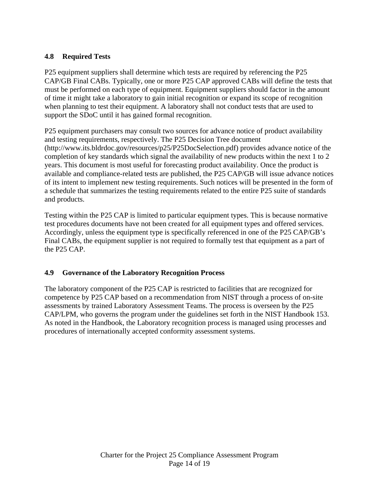# **4.8 Required Tests**

P25 equipment suppliers shall determine which tests are required by referencing the P25 CAP/GB Final CABs. Typically, one or more P25 CAP approved CABs will define the tests that must be performed on each type of equipment. Equipment suppliers should factor in the amount of time it might take a laboratory to gain initial recognition or expand its scope of recognition when planning to test their equipment. A laboratory shall not conduct tests that are used to support the SDoC until it has gained formal recognition.

P25 equipment purchasers may consult two sources for advance notice of product availability and testing requirements, respectively. The P25 Decision Tree document (http://www.its.bldrdoc.gov/resources/p25/P25DocSelection.pdf) provides advance notice of the completion of key standards which signal the availability of new products within the next 1 to 2 years. This document is most useful for forecasting product availability. Once the product is available and compliance-related tests are published, the P25 CAP/GB will issue advance notices of its intent to implement new testing requirements. Such notices will be presented in the form of a schedule that summarizes the testing requirements related to the entire P25 suite of standards and products.

Testing within the P25 CAP is limited to particular equipment types. This is because normative test procedures documents have not been created for all equipment types and offered services. Accordingly, unless the equipment type is specifically referenced in one of the P25 CAP/GB's Final CABs, the equipment supplier is not required to formally test that equipment as a part of the P25 CAP.

#### **4.9 Governance of the Laboratory Recognition Process**

The laboratory component of the P25 CAP is restricted to facilities that are recognized for competence by P25 CAP based on a recommendation from NIST through a process of on-site assessments by trained Laboratory Assessment Teams. The process is overseen by the P25 CAP/LPM, who governs the program under the guidelines set forth in the NIST Handbook 153. As noted in the Handbook, the Laboratory recognition process is managed using processes and procedures of internationally accepted conformity assessment systems.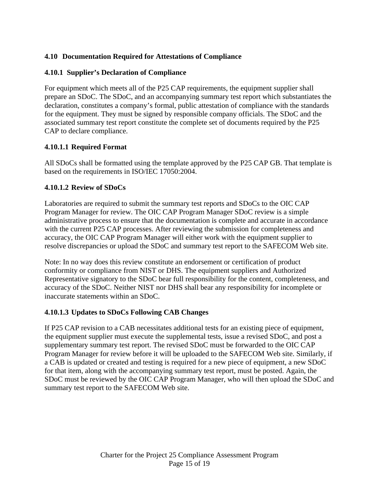# **4.10 Documentation Required for Attestations of Compliance**

#### **4.10.1 Supplier's Declaration of Compliance**

For equipment which meets all of the P25 CAP requirements, the equipment supplier shall prepare an SDoC. The SDoC, and an accompanying summary test report which substantiates the declaration, constitutes a company's formal, public attestation of compliance with the standards for the equipment. They must be signed by responsible company officials. The SDoC and the associated summary test report constitute the complete set of documents required by the P25 CAP to declare compliance.

#### **4.10.1.1 Required Format**

All SDoCs shall be formatted using the template approved by the P25 CAP GB. That template is based on the requirements in ISO/IEC 17050:2004.

#### **4.10.1.2 Review of SDoCs**

Laboratories are required to submit the summary test reports and SDoCs to the OIC CAP Program Manager for review. The OIC CAP Program Manager SDoC review is a simple administrative process to ensure that the documentation is complete and accurate in accordance with the current P25 CAP processes. After reviewing the submission for completeness and accuracy, the OIC CAP Program Manager will either work with the equipment supplier to resolve discrepancies or upload the SDoC and summary test report to the SAFECOM Web site.

Note: In no way does this review constitute an endorsement or certification of product conformity or compliance from NIST or DHS. The equipment suppliers and Authorized Representative signatory to the SDoC bear full responsibility for the content, completeness, and accuracy of the SDoC. Neither NIST nor DHS shall bear any responsibility for incomplete or inaccurate statements within an SDoC.

#### **4.10.1.3 Updates to SDoCs Following CAB Changes**

If P25 CAP revision to a CAB necessitates additional tests for an existing piece of equipment, the equipment supplier must execute the supplemental tests, issue a revised SDoC, and post a supplementary summary test report. The revised SDoC must be forwarded to the OIC CAP Program Manager for review before it will be uploaded to the SAFECOM Web site. Similarly, if a CAB is updated or created and testing is required for a new piece of equipment, a new SDoC for that item, along with the accompanying summary test report, must be posted. Again, the SDoC must be reviewed by the OIC CAP Program Manager, who will then upload the SDoC and summary test report to the SAFECOM Web site.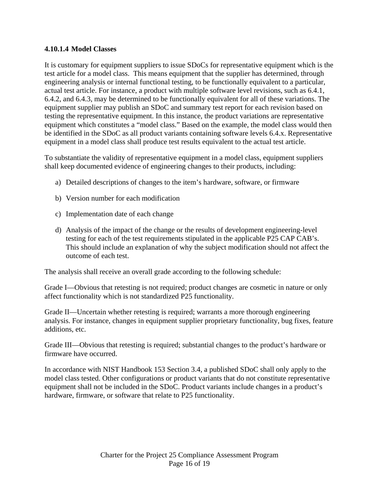#### **4.10.1.4 Model Classes**

It is customary for equipment suppliers to issue SDoCs for representative equipment which is the test article for a model class. This means equipment that the supplier has determined, through engineering analysis or internal functional testing, to be functionally equivalent to a particular, actual test article. For instance, a product with multiple software level revisions, such as 6.4.1, 6.4.2, and 6.4.3, may be determined to be functionally equivalent for all of these variations. The equipment supplier may publish an SDoC and summary test report for each revision based on testing the representative equipment. In this instance, the product variations are representative equipment which constitutes a "model class." Based on the example, the model class would then be identified in the SDoC as all product variants containing software levels 6.4.x. Representative equipment in a model class shall produce test results equivalent to the actual test article.

To substantiate the validity of representative equipment in a model class, equipment suppliers shall keep documented evidence of engineering changes to their products, including:

- a) Detailed descriptions of changes to the item's hardware, software, or firmware
- b) Version number for each modification
- c) Implementation date of each change
- d) Analysis of the impact of the change or the results of development engineering-level testing for each of the test requirements stipulated in the applicable P25 CAP CAB's. This should include an explanation of why the subject modification should not affect the outcome of each test.

The analysis shall receive an overall grade according to the following schedule:

Grade I—Obvious that retesting is not required; product changes are cosmetic in nature or only affect functionality which is not standardized P25 functionality.

Grade II—Uncertain whether retesting is required; warrants a more thorough engineering analysis. For instance, changes in equipment supplier proprietary functionality, bug fixes, feature additions, etc.

Grade III—Obvious that retesting is required; substantial changes to the product's hardware or firmware have occurred.

In accordance with NIST Handbook 153 Section 3.4, a published SDoC shall only apply to the model class tested. Other configurations or product variants that do not constitute representative equipment shall not be included in the SDoC. Product variants include changes in a product's hardware, firmware, or software that relate to P25 functionality.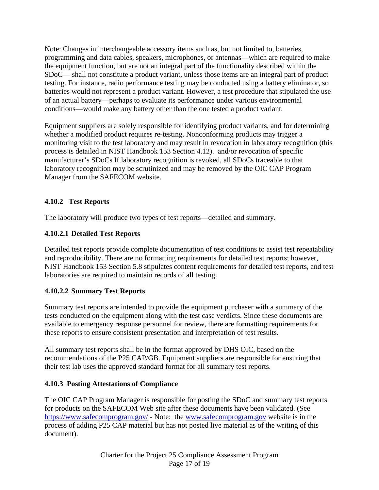Note: Changes in interchangeable accessory items such as, but not limited to, batteries, programming and data cables, speakers, microphones, or antennas—which are required to make the equipment function, but are not an integral part of the functionality described within the SDoC— shall not constitute a product variant, unless those items are an integral part of product testing. For instance, radio performance testing may be conducted using a battery eliminator, so batteries would not represent a product variant. However, a test procedure that stipulated the use of an actual battery—perhaps to evaluate its performance under various environmental conditions—would make any battery other than the one tested a product variant.

Equipment suppliers are solely responsible for identifying product variants, and for determining whether a modified product requires re-testing. Nonconforming products may trigger a monitoring visit to the test laboratory and may result in revocation in laboratory recognition (this process is detailed in NIST Handbook 153 Section 4.12). and/or revocation of specific manufacturer's SDoCs If laboratory recognition is revoked, all SDoCs traceable to that laboratory recognition may be scrutinized and may be removed by the OIC CAP Program Manager from the SAFECOM website.

# **4.10.2 Test Reports**

The laboratory will produce two types of test reports—detailed and summary.

# **4.10.2.1 Detailed Test Reports**

Detailed test reports provide complete documentation of test conditions to assist test repeatability and reproducibility. There are no formatting requirements for detailed test reports; however, NIST Handbook 153 Section 5.8 stipulates content requirements for detailed test reports, and test laboratories are required to maintain records of all testing.

# **4.10.2.2 Summary Test Reports**

Summary test reports are intended to provide the equipment purchaser with a summary of the tests conducted on the equipment along with the test case verdicts. Since these documents are available to emergency response personnel for review, there are formatting requirements for these reports to ensure consistent presentation and interpretation of test results.

All summary test reports shall be in the format approved by DHS OIC, based on the recommendations of the P25 CAP/GB. Equipment suppliers are responsible for ensuring that their test lab uses the approved standard format for all summary test reports.

#### **4.10.3 Posting Attestations of Compliance**

The OIC CAP Program Manager is responsible for posting the SDoC and summary test reports for products on the SAFECOM Web site after these documents have been validated. (See https://www.safecomprogram.gov/ - Note: the www.safecomprogram.gov website is in the process of adding P25 CAP material but has not posted live material as of the writing of this document).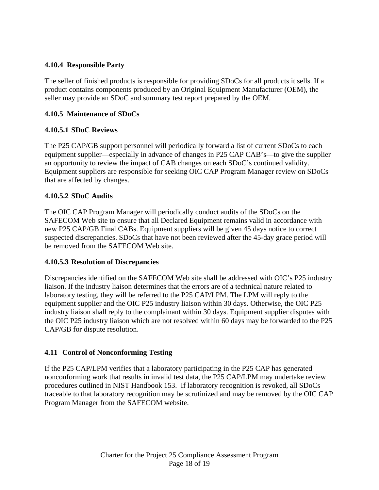## **4.10.4 Responsible Party**

The seller of finished products is responsible for providing SDoCs for all products it sells. If a product contains components produced by an Original Equipment Manufacturer (OEM), the seller may provide an SDoC and summary test report prepared by the OEM.

## **4.10.5 Maintenance of SDoCs**

# **4.10.5.1 SDoC Reviews**

The P25 CAP/GB support personnel will periodically forward a list of current SDoCs to each equipment supplier—especially in advance of changes in P25 CAP CAB's—to give the supplier an opportunity to review the impact of CAB changes on each SDoC's continued validity. Equipment suppliers are responsible for seeking OIC CAP Program Manager review on SDoCs that are affected by changes.

# **4.10.5.2 SDoC Audits**

The OIC CAP Program Manager will periodically conduct audits of the SDoCs on the SAFECOM Web site to ensure that all Declared Equipment remains valid in accordance with new P25 CAP/GB Final CABs. Equipment suppliers will be given 45 days notice to correct suspected discrepancies. SDoCs that have not been reviewed after the 45-day grace period will be removed from the SAFECOM Web site.

#### **4.10.5.3 Resolution of Discrepancies**

Discrepancies identified on the SAFECOM Web site shall be addressed with OIC's P25 industry liaison. If the industry liaison determines that the errors are of a technical nature related to laboratory testing, they will be referred to the P25 CAP/LPM. The LPM will reply to the equipment supplier and the OIC P25 industry liaison within 30 days*.* Otherwise, the OIC P25 industry liaison shall reply to the complainant within 30 days. Equipment supplier disputes with the OIC P25 industry liaison which are not resolved within 60 days may be forwarded to the P25 CAP/GB for dispute resolution.

#### **4.11 Control of Nonconforming Testing**

If the P25 CAP/LPM verifies that a laboratory participating in the P25 CAP has generated nonconforming work that results in invalid test data, the P25 CAP/LPM may undertake review procedures outlined in NIST Handbook 153. If laboratory recognition is revoked, all SDoCs traceable to that laboratory recognition may be scrutinized and may be removed by the OIC CAP Program Manager from the SAFECOM website.